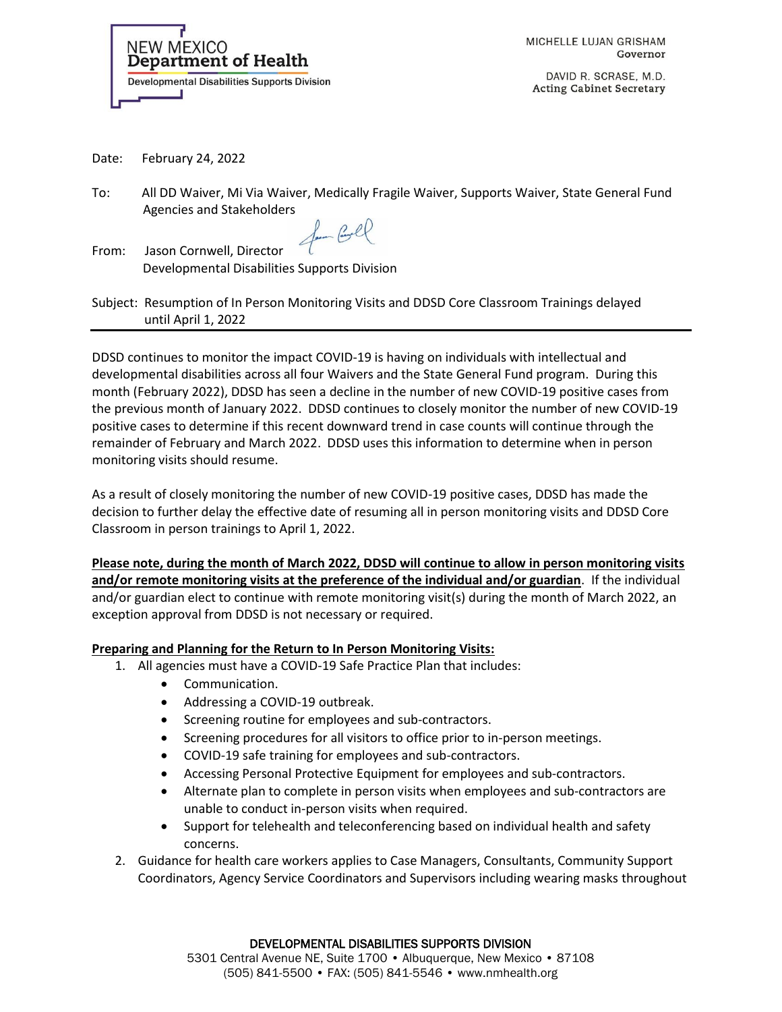

MICHELLE LUJAN GRISHAM Governor

DAVID R. SCRASE, M.D. **Acting Cabinet Secretary** 

Date: February 24, 2022

To: All DD Waiver, Mi Via Waiver, Medically Fragile Waiver, Supports Waiver, State General Fund Agencies and Stakeholders

for Coll

From: Jason Cornwell, Director Developmental Disabilities Supports Division

Subject: Resumption of In Person Monitoring Visits and DDSD Core Classroom Trainings delayed until April 1, 2022

DDSD continues to monitor the impact COVID-19 is having on individuals with intellectual and developmental disabilities across all four Waivers and the State General Fund program. During this month (February 2022), DDSD has seen a decline in the number of new COVID-19 positive cases from the previous month of January 2022. DDSD continues to closely monitor the number of new COVID-19 positive cases to determine if this recent downward trend in case counts will continue through the remainder of February and March 2022. DDSD uses this information to determine when in person monitoring visits should resume.

As a result of closely monitoring the number of new COVID-19 positive cases, DDSD has made the decision to further delay the effective date of resuming all in person monitoring visits and DDSD Core Classroom in person trainings to April 1, 2022.

**Please note, during the month of March 2022, DDSD will continue to allow in person monitoring visits and/or remote monitoring visits at the preference of the individual and/or guardian**. If the individual and/or guardian elect to continue with remote monitoring visit(s) during the month of March 2022, an exception approval from DDSD is not necessary or required.

### **Preparing and Planning for the Return to In Person Monitoring Visits:**

- 1. All agencies must have a COVID-19 Safe Practice Plan that includes:
	- Communication.
	- Addressing a COVID-19 outbreak.
	- Screening routine for employees and sub-contractors.
	- Screening procedures for all visitors to office prior to in-person meetings.
	- COVID-19 safe training for employees and sub-contractors.
	- Accessing Personal Protective Equipment for employees and sub-contractors.
	- Alternate plan to complete in person visits when employees and sub-contractors are unable to conduct in-person visits when required.
	- Support for telehealth and teleconferencing based on individual health and safety concerns.
- 2. Guidance for health care workers applies to Case Managers, Consultants, Community Support Coordinators, Agency Service Coordinators and Supervisors including wearing masks throughout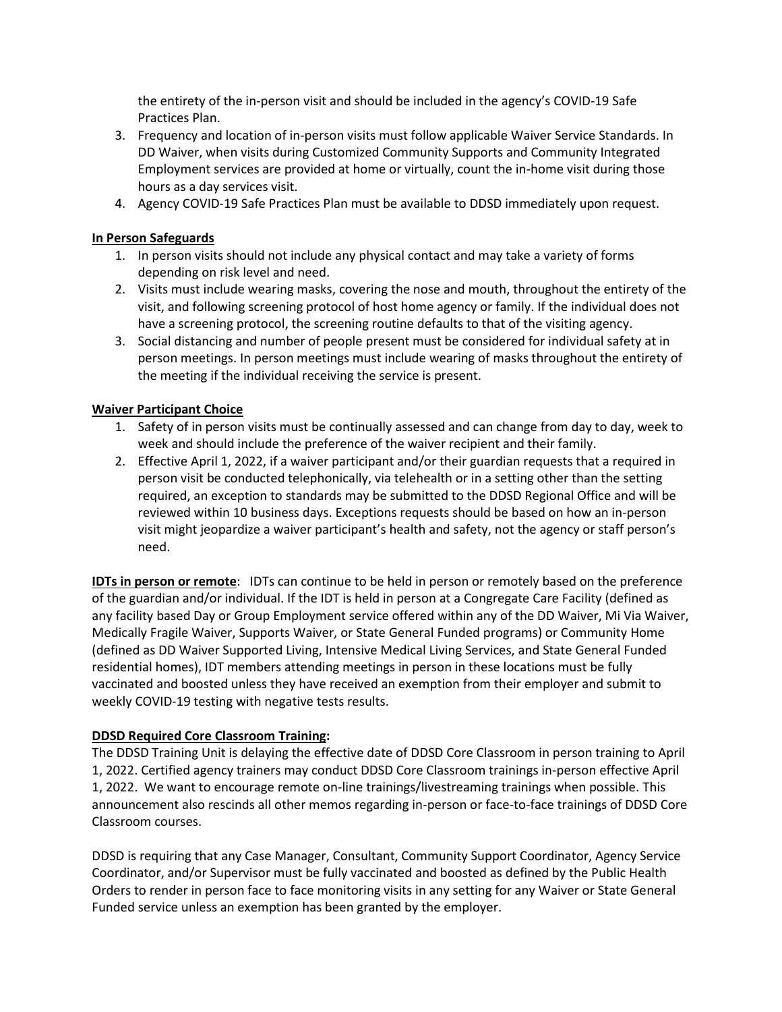the entirety of the in-person visit and should be included in the agency's COVID-19 Safe Practices Plan.

- 3. Frequency and location of in-person visits must follow applicable Waiver Service Standards. In DD Waiver, when visits during Customized Community Supports and Community Integrated Employment services are provided at home or virtually, count the in-home visit during those hours as a day services visit.
- 4. Agency COVID-19 Safe Practices Plan must be available to DDSD immediately upon request.

## **In Person Safeguards**

- 1. In person visits should not include any physical contact and may take a variety of forms depending on risk level and need.
- 2. Visits must include wearing masks, covering the nose and mouth, throughout the entirety of the visit, and following screening protocol of host home agency or family. If the individual does not have a screening protocol, the screening routine defaults to that of the visiting agency.
- 3. Social distancing and number of people present must be considered for individual safety at in person meetings. In person meetings must include wearing of masks throughout the entirety of the meeting if the individual receiving the service is present.

### **Waiver Participant Choice**

- 1. Safety of in person visits must be continually assessed and can change from day to day, week to week and should include the preference of the waiver recipient and their family.
- 2. Effective April 1, 2022, if a waiver participant and/or their guardian requests that a required in person visit be conducted telephonically, via telehealth or in a setting other than the setting required, an exception to standards may be submitted to the DDSD Regional Office and will be reviewed within 10 business days. Exceptions requests should be based on how an in-person visit might jeopardize a waiver participant's health and safety, not the agency or staff person's need.

**IDTs in person or remote**: IDTs can continue to be held in person or remotely based on the preference of the guardian and/or individual. If the IDT is held in person at a Congregate Care Facility (defined as any facility based Day or Group Employment service offered within any of the DD Waiver, Mi Via Waiver, Medically Fragile Waiver, Supports Waiver, or State General Funded programs) or Community Home (defined as DD Waiver Supported Living, Intensive Medical Living Services, and State General Funded residential homes), IDT members attending meetings in person in these locations must be fully vaccinated and boosted unless they have received an exemption from their employer and submit to weekly COVID-19 testing with negative tests results.

# **DDSD Required Core Classroom Training:**

The DDSD Training Unit is delaying the effective date of DDSD Core Classroom in person training to April 1, 2022. Certified agency trainers may conduct DDSD Core Classroom trainings in-person effective April 1, 2022. We want to encourage remote on-line trainings/livestreaming trainings when possible. This announcement also rescinds all other memos regarding in-person or face-to-face trainings of DDSD Core Classroom courses.

DDSD is requiring that any Case Manager, Consultant, Community Support Coordinator, Agency Service Coordinator, and/or Supervisor must be fully vaccinated and boosted as defined by the Public Health Orders to render in person face to face monitoring visits in any setting for any Waiver or State General Funded service unless an exemption has been granted by the employer.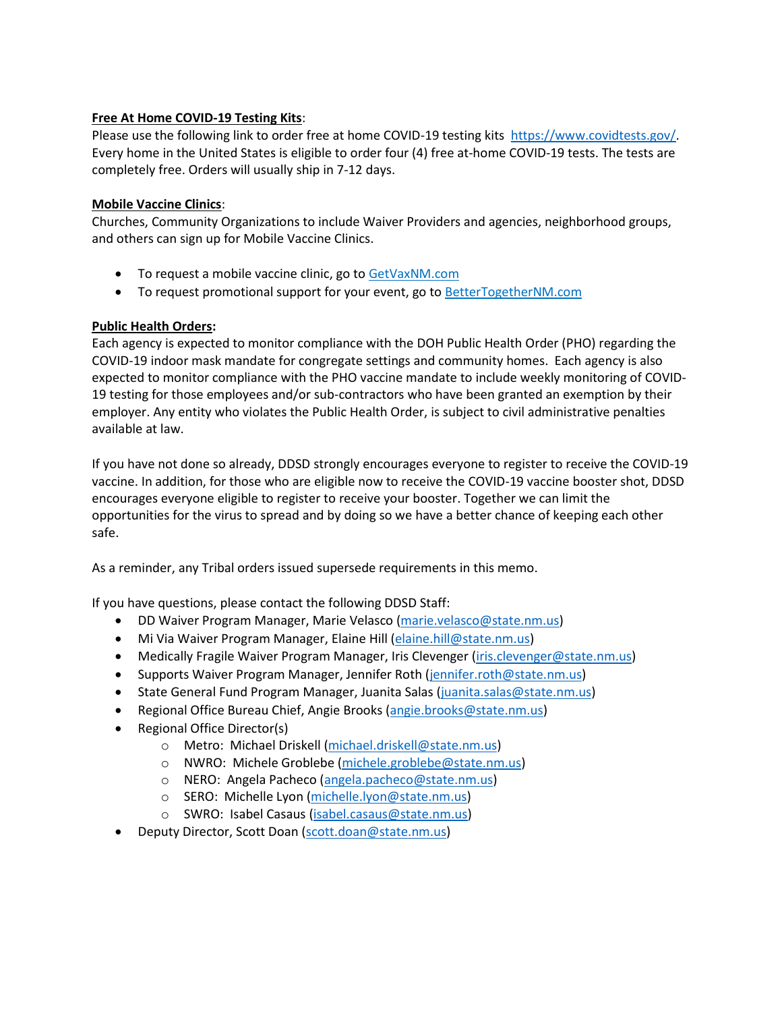# **Free At Home COVID-19 Testing Kits**:

Please use the following link to order free at home COVID-19 testing kits [https://www.covidtests.gov/.](https://www.covidtests.gov/) Every home in the United States is eligible to order four (4) free at-home COVID-19 tests. The tests are completely free. Orders will usually ship in 7-12 days.

## **Mobile Vaccine Clinics**:

Churches, Community Organizations to include Waiver Providers and agencies, neighborhood groups, and others can sign up for Mobile Vaccine Clinics.

- To request a mobile vaccine clinic, go to GetVaxNM.com
- To request promotional support for your event, go to **BetterTogetherNM.com**

# **Public Health Orders:**

Each agency is expected to monitor compliance with the DOH Public Health Order (PHO) regarding the COVID-19 indoor mask mandate for congregate settings and community homes. Each agency is also expected to monitor compliance with the PHO vaccine mandate to include weekly monitoring of COVID-19 testing for those employees and/or sub-contractors who have been granted an exemption by their employer. Any entity who violates the Public Health Order, is subject to civil administrative penalties available at law.

If you have not done so already, DDSD strongly encourages everyone to register to receive the COVID-19 vaccine. In addition, for those who are eligible now to receive the COVID-19 vaccine booster shot, DDSD encourages everyone eligible to register to receive your booster. Together we can limit the opportunities for the virus to spread and by doing so we have a better chance of keeping each other safe.

As a reminder, any Tribal orders issued supersede requirements in this memo.

If you have questions, please contact the following DDSD Staff:

- DD Waiver Program Manager, Marie Velasco [\(marie.velasco@state.nm.us\)](mailto:marie.velasco@state.nm.us)
- Mi Via Waiver Program Manager, Elaine Hill [\(elaine.hill@state.nm.us\)](mailto:elaine.hill@state.nm.us)
- Medically Fragile Waiver Program Manager, Iris Clevenger [\(iris.clevenger@state.nm.us\)](mailto:iris.clevenger@state.nm.us)
- Supports Waiver Program Manager, Jennifer Roth [\(jennifer.roth@state.nm.us\)](mailto:jennifer.roth@state.nm.us)
- State General Fund Program Manager, Juanita Salas [\(juanita.salas@state.nm.us\)](mailto:juanita.salas@state.nm.us)
- Regional Office Bureau Chief, Angie Brooks [\(angie.brooks@state.nm.us\)](mailto:angie.brooks@state.nm.us)
- Regional Office Director(s)
	- o Metro: Michael Driskell [\(michael.driskell@state.nm.us\)](mailto:michael.driskell@state.nm.us)
	- o NWRO: Michele Groblebe [\(michele.groblebe@state.nm.us\)](mailto:michele.groblebe@state.nm.us)
	- o NERO: Angela Pacheco [\(angela.pacheco@state.nm.us\)](mailto:angela.pacheco@state.nm.us)
	- o SERO: Michelle Lyon [\(michelle.lyon@state.nm.us\)](mailto:michelle.lyon@state.nm.us)
	- o SWRO: Isabel Casaus [\(isabel.casaus@state.nm.us\)](mailto:isabel.casaus@state.nm.us)
- Deputy Director, Scott Doan [\(scott.doan@state.nm.us\)](mailto:scott.doan@state.nm.us)